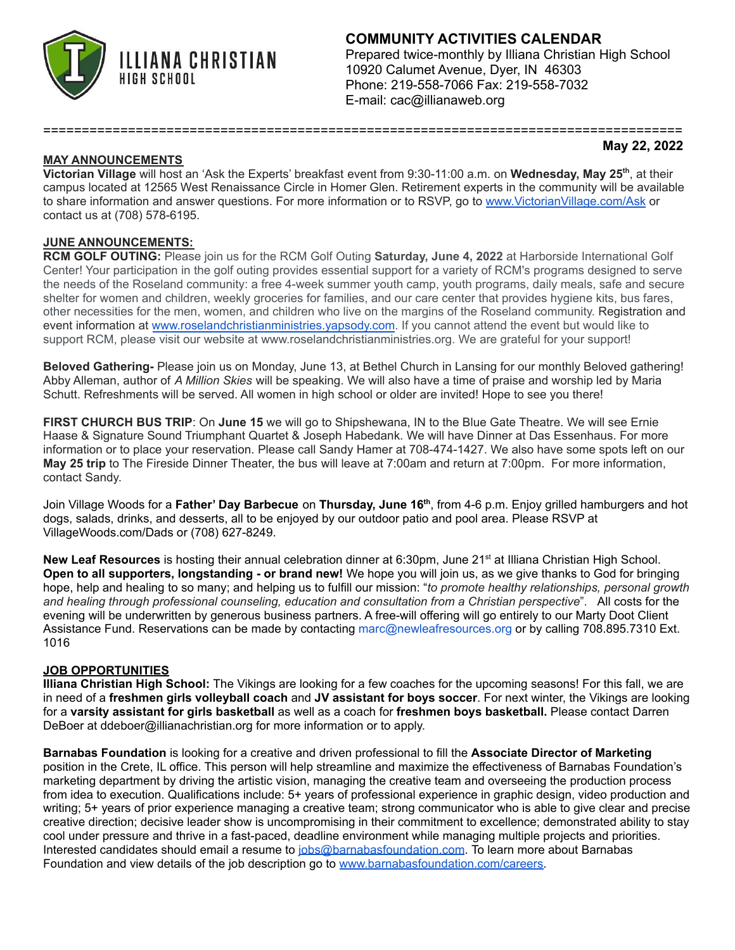

# **COMMUNITY ACTIVITIES CALENDAR**

Prepared twice-monthly by Illiana Christian High School 10920 Calumet Avenue, Dyer, IN 46303 Phone: 219-558-7066 Fax: 219-558-7032 E-mail: cac@illianaweb.org

## **MAY ANNOUNCEMENTS**

#### **May 22, 2022**

**Victorian Village** will host an 'Ask the Experts' breakfast event from 9:30-11:00 a.m. on **Wednesday, May 25 th** , at their campus located at 12565 West Renaissance Circle in Homer Glen. Retirement experts in the community will be available to share information and answer questions. For more information or to RSVP, go to [www.VictorianVillage.com/Ask](http://www.victorianvillage.com/Ask) or contact us at (708) 578-6195.

===================================================================================

#### **JUNE ANNOUNCEMENTS:**

**RCM GOLF OUTING:** Please join us for the RCM Golf Outing **Saturday, June 4, 2022** at Harborside International Golf Center! Your participation in the golf outing provides essential support for a variety of RCM's programs designed to serve the needs of the Roseland community: a free 4-week summer youth camp, youth programs, daily meals, safe and secure shelter for women and children, weekly groceries for families, and our care center that provides hygiene kits, bus fares, other necessities for the men, women, and children who live on the margins of the Roseland community. Registration and event information at [www.roselandchristianministries.yapsody.com](http://www.roselandchristianministries.yapsody.com/). If you cannot attend the event but would like to support RCM, please visit our website at [www.roselandchristianministries.org.](http://www.roselandchristianministries.org/) We are grateful for your support!

**Beloved Gathering-** Please join us on Monday, June 13, at Bethel Church in Lansing for our monthly Beloved gathering! Abby Alleman, author of *A Million Skies* will be speaking. We will also have a time of praise and worship led by Maria Schutt. Refreshments will be served. All women in high school or older are invited! Hope to see you there!

**FIRST CHURCH BUS TRIP**: On **June 15** we will go to Shipshewana, IN to the Blue Gate Theatre. We will see Ernie Haase & Signature Sound Triumphant Quartet & Joseph Habedank. We will have Dinner at Das Essenhaus. For more information or to place your reservation. Please call Sandy Hamer at 708-474-1427. We also have some spots left on our **May 25 trip** to The Fireside Dinner Theater, the bus will leave at 7:00am and return at 7:00pm. For more information, contact Sandy.

Join Village Woods for a **Father' Day Barbecue** on **Thursday, June 16 th** , from 4-6 p.m. Enjoy grilled hamburgers and hot dogs, salads, drinks, and desserts, all to be enjoyed by our outdoor patio and pool area. Please RSVP at VillageWoods.com/Dads or (708) 627-8249.

New Leaf Resources is hosting their annual celebration dinner at 6:30pm, June 21<sup>st</sup> at Illiana Christian High School. **Open to all supporters, longstanding - or brand new!** We hope you will join us, as we give thanks to God for bringing hope, help and healing to so many; and helping us to fulfill our mission: "*to promote healthy relationships, personal growth and healing through professional counseling, education and consultation from a Christian perspective*". All costs for the evening will be underwritten by generous business partners. A free-will offering will go entirely to our Marty Doot Client Assistance Fund. Reservations can be made by contacting marc@newleafresources.org or by calling 708.895.7310 Ext. 1016

#### **JOB OPPORTUNITIES**

**Illiana Christian High School:** The Vikings are looking for a few coaches for the upcoming seasons! For this fall, we are in need of a **freshmen girls volleyball coach** and **JV assistant for boys soccer**. For next winter, the Vikings are looking for a **varsity assistant for girls basketball** as well as a coach for **freshmen boys basketball.** Please contact Darren DeBoer at ddeboer@illianachristian.org for more information or to apply.

**Barnabas Foundation** is looking for a creative and driven professional to fill the **Associate Director of Marketing** position in the Crete, IL office. This person will help streamline and maximize the effectiveness of Barnabas Foundation's marketing department by driving the artistic vision, managing the creative team and overseeing the production process from idea to execution. Qualifications include: 5+ years of professional experience in graphic design, video production and writing; 5+ years of prior experience managing a creative team; strong communicator who is able to give clear and precise creative direction; decisive leader show is uncompromising in their commitment to excellence; demonstrated ability to stay cool under pressure and thrive in a fast-paced, deadline environment while managing multiple projects and priorities. Interested candidates should email a resume to [jobs@barnabasfoundation.com](mailto:jobs@barnabasfoundation.com). To learn more about Barnabas Foundation and view details of the job description go to [www.barnabasfoundation.com/careers.](http://www.barnabasfoundation.com/careers)